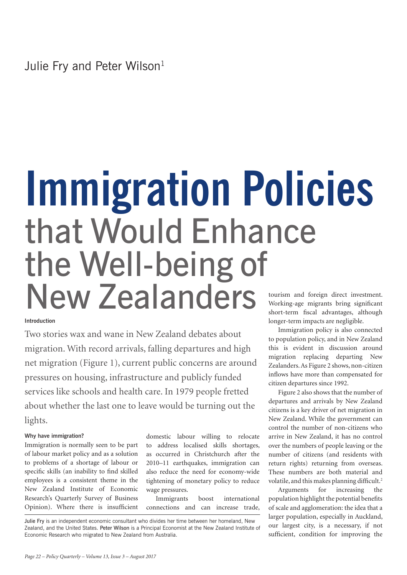# **Immigration Policies** that Would Enhance the Well-being of New Zealanders

# **Introduction**

Two stories wax and wane in New Zealand debates about migration. With record arrivals, falling departures and high net migration (Figure 1), current public concerns are around pressures on housing, infrastructure and publicly funded services like schools and health care. In 1979 people fretted about whether the last one to leave would be turning out the lights.

## **Why have immigration?**

Immigration is normally seen to be part of labour market policy and as a solution to problems of a shortage of labour or specific skills (an inability to find skilled employees is a consistent theme in the New Zealand Institute of Economic Research's Quarterly Survey of Business Opinion). Where there is insufficient

domestic labour willing to relocate to address localised skills shortages, as occurred in Christchurch after the 2010–11 earthquakes, immigration can also reduce the need for economy-wide tightening of monetary policy to reduce wage pressures.

Immigrants boost international connections and can increase trade,

tourism and foreign direct investment. Working-age migrants bring significant short-term fiscal advantages, although longer-term impacts are negligible.

Immigration policy is also connected to population policy, and in New Zealand this is evident in discussion around migration replacing departing New Zealanders. As Figure 2 shows, non-citizen inflows have more than compensated for citizen departures since 1992.

Figure 2 also shows that the number of departures and arrivals by New Zealand citizens is a key driver of net migration in New Zealand. While the government can control the number of non-citizens who arrive in New Zealand, it has no control over the numbers of people leaving or the number of citizens (and residents with return rights) returning from overseas. These numbers are both material and volatile, and this makes planning difficult.2

Arguments for increasing the population highlight the potential benefits of scale and agglomeration: the idea that a larger population, especially in Auckland, our largest city, is a necessary, if not sufficient, condition for improving the

Julie Fry is an independent economic consultant who divides her time between her homeland, New Zealand, and the United States. Peter Wilson is a Principal Economist at the New Zealand Institute of Economic Research who migrated to New Zealand from Australia.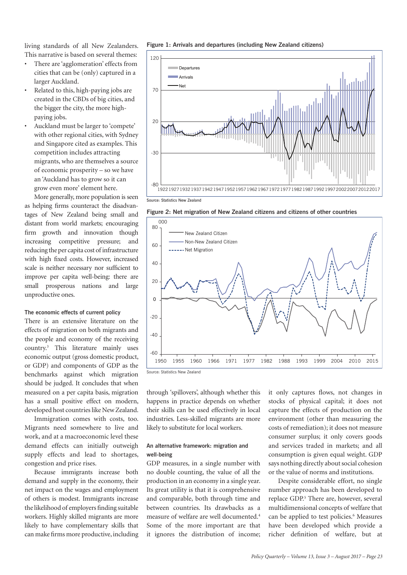living standards of all New Zealanders. This narrative is based on several themes:

- • There are 'agglomeration' effects from cities that can be (only) captured in a larger Auckland.
- Related to this, high-paying jobs are created in the CBDs of big cities, and the bigger the city, the more highpaying jobs.
- Auckland must be larger to 'compete' with other regional cities, with Sydney and Singapore cited as examples. This competition includes attracting migrants, who are themselves a source of economic prosperity – so we have an 'Auckland has to grow so it can grow even more' element here.

More generally, more population is seen as helping firms counteract the disadvantages of New Zealand being small and distant from world markets; encouraging firm growth and innovation though increasing competitive pressure; and reducing the per capita cost of infrastructure with high fixed costs. However, increased scale is neither necessary nor sufficient to improve per capita well-being: there are small prosperous nations and large unproductive ones.

#### **The economic effects of current policy**

There is an extensive literature on the effects of migration on both migrants and the people and economy of the receiving country.3 This literature mainly uses economic output (gross domestic product, or GDP) and components of GDP as the benchmarks against which migration should be judged. It concludes that when measured on a per capita basis, migration has a small positive effect on modern, developed host countries like New Zealand.

Immigration comes with costs, too. Migrants need somewhere to live and work, and at a macroeconomic level these demand effects can initially outweigh supply effects and lead to shortages, congestion and price rises.

Because immigrants increase both demand and supply in the economy, their net impact on the wages and employment of others is modest. Immigrants increase the likelihood of employers finding suitable workers. Highly skilled migrants are more likely to have complementary skills that can make firms more productive, including

**Figure 1: Arrivals and departures (including New Zealand citizens)** 



**Figure 2: Net migration of New Zealand citizens and citizens of other countries** 



through 'spillovers', although whether this happens in practice depends on whether their skills can be used effectively in local industries. Less-skilled migrants are more likely to substitute for local workers.

## **An alternative framework: migration and well-being**

GDP measures, in a single number with no double counting, the value of all the production in an economy in a single year. Its great utility is that it is comprehensive and comparable, both through time and between countries. Its drawbacks as a measure of welfare are well documented.4 Some of the more important are that it ignores the distribution of income; it only captures flows, not changes in stocks of physical capital; it does not capture the effects of production on the environment (other than measuring the costs of remediation); it does not measure consumer surplus; it only covers goods and services traded in markets; and all consumption is given equal weight. GDP says nothing directly about social cohesion or the value of norms and institutions.

Despite considerable effort, no single number approach has been developed to replace GDP.<sup>5</sup> There are, however, several multidimensional concepts of welfare that can be applied to test policies.<sup>6</sup> Measures have been developed which provide a richer definition of welfare, but at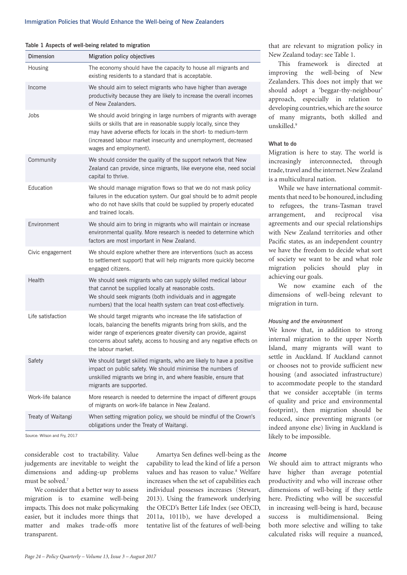|  |  | Table 1 Aspects of well-being related to migration |  |  |
|--|--|----------------------------------------------------|--|--|
|--|--|----------------------------------------------------|--|--|

| Dimension          | Migration policy objectives                                                                                                                                                                                                                                                                               |  |  |
|--------------------|-----------------------------------------------------------------------------------------------------------------------------------------------------------------------------------------------------------------------------------------------------------------------------------------------------------|--|--|
| Housing            | The economy should have the capacity to house all migrants and<br>existing residents to a standard that is acceptable.                                                                                                                                                                                    |  |  |
| Income             | We should aim to select migrants who have higher than average<br>productivity because they are likely to increase the overall incomes<br>of New Zealanders.                                                                                                                                               |  |  |
| Jobs               | We should avoid bringing in large numbers of migrants with average<br>skills or skills that are in reasonable supply locally, since they<br>may have adverse effects for locals in the short- to medium-term<br>(increased labour market insecurity and unemployment, decreased<br>wages and employment). |  |  |
| Community          | We should consider the quality of the support network that New<br>Zealand can provide, since migrants, like everyone else, need social<br>capital to thrive.                                                                                                                                              |  |  |
| Education          | We should manage migration flows so that we do not mask policy<br>failures in the education system. Our goal should be to admit people<br>who do not have skills that could be supplied by properly educated<br>and trained locals.                                                                       |  |  |
| Environment        | We should aim to bring in migrants who will maintain or increase<br>environmental quality. More research is needed to determine which<br>factors are most important in New Zealand.                                                                                                                       |  |  |
| Civic engagement   | We should explore whether there are interventions (such as access<br>to settlement support) that will help migrants more quickly become<br>engaged citizens.                                                                                                                                              |  |  |
| Health             | We should seek migrants who can supply skilled medical labour<br>that cannot be supplied locally at reasonable costs.<br>We should seek migrants (both individuals and in aggregate<br>numbers) that the local health system can treat cost-effectively.                                                  |  |  |
| Life satisfaction  | We should target migrants who increase the life satisfaction of<br>locals, balancing the benefits migrants bring from skills, and the<br>wider range of experiences greater diversity can provide, against<br>concerns about safety, access to housing and any negative effects on<br>the labour market.  |  |  |
| Safety             | We should target skilled migrants, who are likely to have a positive<br>impact on public safety. We should minimise the numbers of<br>unskilled migrants we bring in, and where feasible, ensure that<br>migrants are supported.                                                                          |  |  |
| Work-life balance  | More research is needed to determine the impact of different groups<br>of migrants on work-life balance in New Zealand.                                                                                                                                                                                   |  |  |
| Treaty of Waitangi | When setting migration policy, we should be mindful of the Crown's<br>obligations under the Treaty of Waitangi.                                                                                                                                                                                           |  |  |

Source: Wilson and Fry, 2017

considerable cost to tractability. Value judgements are inevitable to weight the dimensions and adding-up problems must be solved.7

We consider that a better way to assess migration is to examine well-being impacts. This does not make policymaking easier, but it includes more things that matter and makes trade-offs more transparent.

Amartya Sen defines well-being as the capability to lead the kind of life a person values and has reason to value.<sup>8</sup> Welfare increases when the set of capabilities each individual possesses increases (Stewart, 2013). Using the framework underlying the OECD's Better Life Index (see OECD, 2011a, 1011b), we have developed a tentative list of the features of well-being

that are relevant to migration policy in New Zealand today: see Table 1.

This framework is directed at improving the well-being of New Zealanders. This does not imply that we should adopt a 'beggar-thy-neighbour' approach, especially in relation to developing countries, which are the source of many migrants, both skilled and unskilled<sup>9</sup>

## **What to do**

Migration is here to stay. The world is increasingly interconnected, through trade, travel and the internet. New Zealand is a multicultural nation.

While we have international commitments that need to be honoured, including to refugees, the trans-Tasman travel arrangement, and reciprocal visa agreements and our special relationships with New Zealand territories and other Pacific states, as an independent country we have the freedom to decide what sort of society we want to be and what role migration policies should play in achieving our goals.

We now examine each of the dimensions of well-being relevant to migration in turn.

#### *Housing and the environment*

We know that, in addition to strong internal migration to the upper North Island, many migrants will want to settle in Auckland. If Auckland cannot or chooses not to provide sufficient new housing (and associated infrastructure) to accommodate people to the standard that we consider acceptable (in terms of quality and price and environmental footprint), then migration should be reduced, since preventing migrants (or indeed anyone else) living in Auckland is likely to be impossible.

## *Income*

We should aim to attract migrants who have higher than average potential productivity and who will increase other dimensions of well-being if they settle here. Predicting who will be successful in increasing well-being is hard, because success is multidimensional. Being both more selective and willing to take calculated risks will require a nuanced,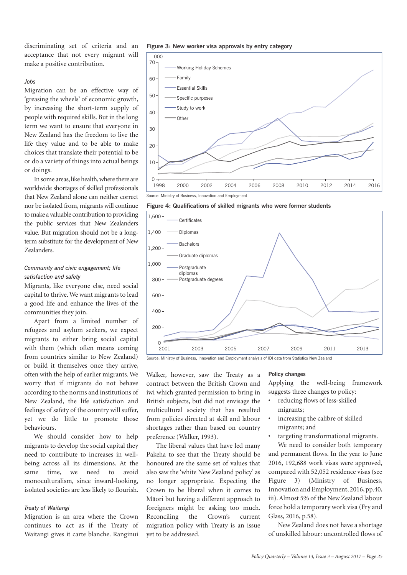discriminating set of criteria and an acceptance that not every migrant will make a positive contribution.

#### *Jobs*

Migration can be an effective way of 'greasing the wheels' of economic growth, by increasing the short-term supply of people with required skills. But in the long term we want to ensure that everyone in New Zealand has the freedom to live the life they value and to be able to make choices that translate their potential to be or do a variety of things into actual beings or doings.

In some areas, like health, where there are worldwide shortages of skilled professionals that New Zealand alone can neither correct nor be isolated from, migrants will continue to make a valuable contribution to providing the public services that New Zealanders value. But migration should not be a longterm substitute for the development of New Zealanders.

# *Community and civic engagement; life satisfaction and safety*

Migrants, like everyone else, need social capital to thrive. We want migrants to lead a good life and enhance the lives of the communities they join.

Apart from a limited number of refugees and asylum seekers, we expect migrants to either bring social capital with them (which often means coming from countries similar to New Zealand) or build it themselves once they arrive, often with the help of earlier migrants. We worry that if migrants do not behave according to the norms and institutions of New Zealand, the life satisfaction and feelings of safety of the country will suffer, yet we do little to promote those behaviours.

We should consider how to help migrants to develop the social capital they need to contribute to increases in wellbeing across all its dimensions. At the same time, we need to avoid monoculturalism, since inward-looking, isolated societies are less likely to flourish.

#### *Treaty of Waitangi*

Migration is an area where the Crown continues to act as if the Treaty of Waitangi gives it carte blanche. Ranginui

**Figure 3: New worker visa approvals by entry category**



**Figure 4: Qualifications of skilled migrants who were former students**



Source: Ministry of Business, Innovation and Employment analysis of IDI data from Statistics New Zealand

Walker, however, saw the Treaty as a contract between the British Crown and iwi which granted permission to bring in British subjects, but did not envisage the multicultural society that has resulted from policies directed at skill and labour shortages rather than based on country preference (Walker, 1993).

The liberal values that have led many Päkehä to see that the Treaty should be honoured are the same set of values that also saw the 'white New Zealand policy' as no longer appropriate. Expecting the Crown to be liberal when it comes to Mäori but having a different approach to foreigners might be asking too much. Reconciling the Crown's current migration policy with Treaty is an issue yet to be addressed.

**Policy changes**

Applying the well-being framework suggests three changes to policy:

- reducing flows of less-skilled migrants;
- increasing the calibre of skilled migrants; and
- targeting transformational migrants.

We need to consider both temporary and permanent flows. In the year to June 2016, 192,688 work visas were approved, compared with 52,052 residence visas (see Figure 3) (Ministry of Business, Innovation and Employment, 2016, pp.40, iii). Almost 5% of the New Zealand labour force hold a temporary work visa (Fry and Glass, 2016, p.58).

New Zealand does not have a shortage of unskilled labour: uncontrolled flows of